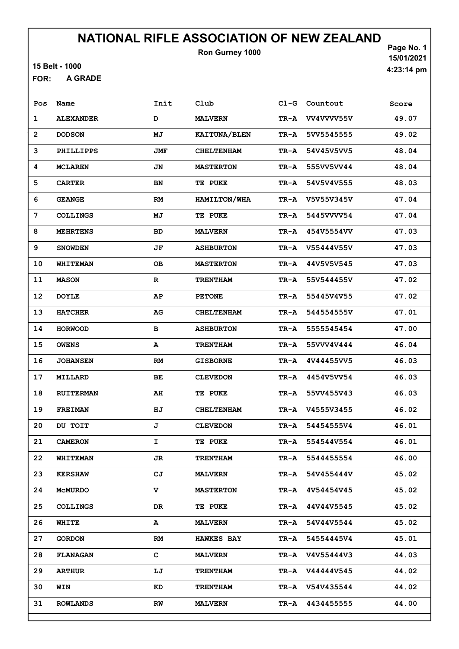15 Belt - 1000

A GRADE FOR:

Page No. 1 15/01/2021 4:23:14 pm

| Pos          | Name             | Init        | Club              | $C1-G$ | Countout        | Score |
|--------------|------------------|-------------|-------------------|--------|-----------------|-------|
| 1            | <b>ALEXANDER</b> | D           | <b>MALVERN</b>    | TR-A   | VV4VVVV55V      | 49.07 |
| $\mathbf{2}$ | <b>DODSON</b>    | MJ          | KAITUNA/BLEN      | TR-A   | 5VV5545555      | 49.02 |
| 3            | PHILLIPPS        | JMF         | <b>CHELTENHAM</b> | TR-A   | 54V45V5VV5      | 48.04 |
| 4            | <b>MCLAREN</b>   | JN          | <b>MASTERTON</b>  | TR-A   | 555VV5VV44      | 48.04 |
| 5            | <b>CARTER</b>    | BN          | <b>TE PUKE</b>    | TR-A   | 54V5V4V555      | 48.03 |
| 6            | <b>GEANGE</b>    | <b>RM</b>   | HAMILTON/WHA      | TR-A   | V5V55V345V      | 47.04 |
| 7            | <b>COLLINGS</b>  | МJ          | <b>TE PUKE</b>    | TR-A   | 5445VVVV54      | 47.04 |
| 8            | <b>MEHRTENS</b>  | BD          | <b>MALVERN</b>    | TR-A   | 454V5554VV      | 47.03 |
| 9            | <b>SNOWDEN</b>   | JF          | <b>ASHBURTON</b>  | TR-A   | V55444V55V      | 47.03 |
| 10           | <b>WHITEMAN</b>  | <b>OB</b>   | <b>MASTERTON</b>  | TR-A   | 44V5V5V545      | 47.03 |
| 11           | <b>MASON</b>     | $\mathbf R$ | <b>TRENTHAM</b>   | TR-A   | 55V544455V      | 47.02 |
| 12           | <b>DOYLE</b>     | AP          | <b>PETONE</b>     | TR-A   | 55445V4V55      | 47.02 |
| 13           | <b>HATCHER</b>   | AG          | <b>CHELTENHAM</b> | TR-A   | 544554555V      | 47.01 |
| 14           | <b>HORWOOD</b>   | в           | <b>ASHBURTON</b>  | TR-A   | 5555545454      | 47.00 |
| 15           | <b>OWENS</b>     | A           | <b>TRENTHAM</b>   | TR-A   | 55VVV4V444      | 46.04 |
| 16           | <b>JOHANSEN</b>  | <b>RM</b>   | <b>GISBORNE</b>   | TR-A   | 4V44455VV5      | 46.03 |
| 17           | MILLARD          | ВE          | <b>CLEVEDON</b>   | TR-A   | 4454V5VV54      | 46.03 |
| 18           | <b>RUITERMAN</b> | AH          | <b>TE PUKE</b>    | TR-A   | 55VV455V43      | 46.03 |
| 19           | <b>FREIMAN</b>   | ΗJ          | <b>CHELTENHAM</b> | TR-A   | V4555V3455      | 46.02 |
| 20           | DU TOIT          | J           | <b>CLEVEDON</b>   | TR-A   | 54454555V4      | 46.01 |
| 21           | <b>CAMERON</b>   | I           | TE PUKE           | TR-A   | 554544V554      | 46.01 |
| 22           | <b>WHITEMAN</b>  | JR          | <b>TRENTHAM</b>   | TR-A   | 5544455554      | 46.00 |
| 23           | <b>KERSHAW</b>   | CJ          | <b>MALVERN</b>    | TR-A   | 54V455444V      | 45.02 |
| 24           | MCMURDO          | v           | <b>MASTERTON</b>  | TR-A   | 4V54454V45      | 45.02 |
| 25           | <b>COLLINGS</b>  | DR          | <b>TE PUKE</b>    | TR-A   | 44V44V5545      | 45.02 |
| 26           | WHITE            | A           | <b>MALVERN</b>    | TR-A   | 54V44V5544      | 45.02 |
| 27           | <b>GORDON</b>    | RM          | <b>HAWKES BAY</b> | TR-A   | 54554445V4      | 45.01 |
| 28           | <b>FLANAGAN</b>  | C.          | <b>MALVERN</b>    |        | TR-A V4V55444V3 | 44.03 |
| 29           | <b>ARTHUR</b>    | LJ          | <b>TRENTHAM</b>   |        | TR-A V44444V545 | 44.02 |
| 30           | WIN              | KD          | <b>TRENTHAM</b>   |        | TR-A V54V435544 | 44.02 |
| 31           | <b>ROWLANDS</b>  | RW          | <b>MALVERN</b>    | TR-A   | 4434455555      | 44.00 |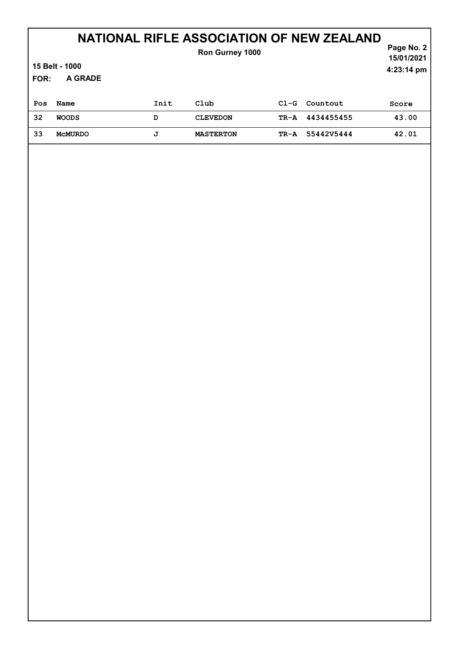#### Page No. 2 NATIONAL RIFLE ASSOCIATION OF NEW ZEALAND 15/01/2021 Ron Gurney 1000

4:23:14 pm

# 15 Belt - 1000

A GRADE FOR:

| Pos | Name           | Init | Club             | $CL-G$ | Countout        | Score |
|-----|----------------|------|------------------|--------|-----------------|-------|
| 32  | <b>WOODS</b>   | D    | <b>CLEVEDON</b>  |        | TR-A 4434455455 | 43.00 |
| 33  | <b>MCMURDO</b> | J    | <b>MASTERTON</b> |        | TR-A 55442V5444 | 42.01 |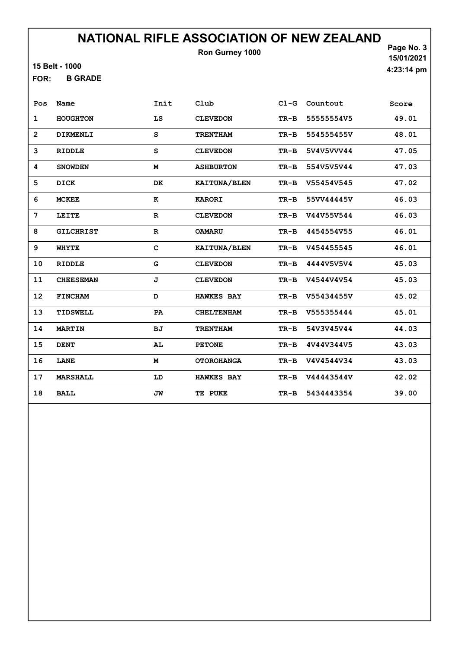15 Belt - 1000

B GRADE FOR:

Page No. 3 15/01/2021 4:23:14 pm

| Pos            | Name             | Init         | Club              | $C1-G$ | Countout   | Score |
|----------------|------------------|--------------|-------------------|--------|------------|-------|
| 1              | <b>HOUGHTON</b>  | LS           | <b>CLEVEDON</b>   | $TR-B$ | 55555554V5 | 49.01 |
| $\overline{2}$ | DIKMENLI         | s            | <b>TRENTHAM</b>   | $TR-B$ | 554555455V | 48.01 |
| 3              | <b>RIDDLE</b>    | S            | <b>CLEVEDON</b>   | TR-B   | 5V4V5VVV44 | 47.05 |
| 4              | <b>SNOWDEN</b>   | M            | <b>ASHBURTON</b>  | TR-B   | 554V5V5V44 | 47.03 |
| 5              | <b>DICK</b>      | DK           | KAITUNA/BLEN      | $TR-B$ | V55454V545 | 47.02 |
| 6              | <b>MCKEE</b>     | к            | <b>KARORI</b>     | $TR-B$ | 55VV44445V | 46.03 |
| 7              | LEITE            | $\mathbf{R}$ | <b>CLEVEDON</b>   | $TR-B$ | V44V55V544 | 46.03 |
| 8              | <b>GILCHRIST</b> | $\mathbf{R}$ | <b>OAMARU</b>     | $TR-B$ | 4454554V55 | 46.01 |
| 9              | <b>WHYTE</b>     | C            | KAITUNA/BLEN      | $TR-B$ | V454455545 | 46.01 |
| 10             | <b>RIDDLE</b>    | G            | <b>CLEVEDON</b>   | $TR-B$ | 4444V5V5V4 | 45.03 |
| 11             | <b>CHEESEMAN</b> | J            | <b>CLEVEDON</b>   | $TR-B$ | V4544V4V54 | 45.03 |
| 12             | <b>FINCHAM</b>   | D            | <b>HAWKES BAY</b> | $TR-B$ | V55434455V | 45.02 |
| 13             | TIDSWELL         | PA           | <b>CHELTENHAM</b> | $TR-B$ | V555355444 | 45.01 |
| 14             | <b>MARTIN</b>    | BJ           | <b>TRENTHAM</b>   | $TR-B$ | 54V3V45V44 | 44.03 |
| 15             | <b>DENT</b>      | AL           | <b>PETONE</b>     | $TR-B$ | 4V44V344V5 | 43.03 |
| 16             | LANE             | M            | <b>OTOROHANGA</b> | TR-B   | V4V4544V34 | 43.03 |
| 17             | <b>MARSHALL</b>  | LD           | <b>HAWKES BAY</b> | $TR-B$ | V44443544V | 42.02 |
| 18             | <b>BALL</b>      | JW           | TE PUKE           | $TR-B$ | 5434443354 | 39.00 |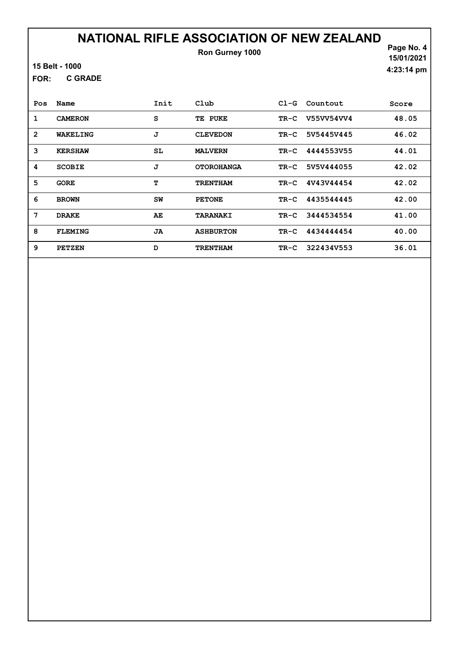| 15 Belt - 1000 |
|----------------|
|----------------|

C GRADE FOR:

Page No. 4 15/01/2021 4:23:14 pm

| Pos            | Name           | Init | $_{\rm Club}$     | $C1-G$ | Countout   | Score |
|----------------|----------------|------|-------------------|--------|------------|-------|
| 1              | <b>CAMERON</b> | S    | TE<br><b>PUKE</b> | TR-C   | V55VV54VV4 | 48.05 |
| $\overline{2}$ | WAKELING       | J    | <b>CLEVEDON</b>   | TR-C   | 5V5445V445 | 46.02 |
| 3              | <b>KERSHAW</b> | SL   | <b>MALVERN</b>    | TR-C   | 4444553V55 | 44.01 |
| 4              | <b>SCOBIE</b>  | J    | <b>OTOROHANGA</b> | TR-C   | 5V5V444055 | 42.02 |
| 5              | <b>GORE</b>    | т    | <b>TRENTHAM</b>   | $TR-C$ | 4V43V44454 | 42.02 |
| 6              | <b>BROWN</b>   | SW   | <b>PETONE</b>     | TR-C   | 4435544445 | 42.00 |
| 7              | <b>DRAKE</b>   | AE   | <b>TARANAKI</b>   | TR-C   | 3444534554 | 41.00 |
| 8              | <b>FLEMING</b> | JA   | <b>ASHBURTON</b>  | TR-C   | 4434444454 | 40.00 |
| 9              | <b>PETZEN</b>  | D    | <b>TRENTHAM</b>   | $TR-C$ | 322434V553 | 36.01 |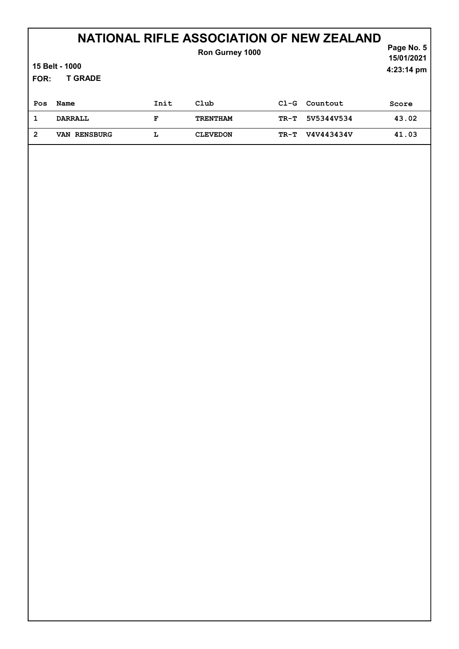## NATIONAL RIFLE ASSOCIATION OF NEW ZEALAND

| FOR:           | 15 Belt - 1000<br><b>T GRADE</b> |      | <b>Ron Gurney 1000</b> |        |            | Page No. 5<br>15/01/2021<br>$4:23:14 \text{ pm}$ |
|----------------|----------------------------------|------|------------------------|--------|------------|--------------------------------------------------|
| Pos            | Name                             | Init | Club                   | $C1-G$ | Countout   | Score                                            |
| 1              | <b>DARRALL</b>                   | F    | <b>TRENTHAM</b>        | $TR-T$ | 5V5344V534 | 43.02                                            |
| $\overline{2}$ | VAN RENSBURG                     | L    | <b>CLEVEDON</b>        | TR-T   | V4V443434V | 41.03                                            |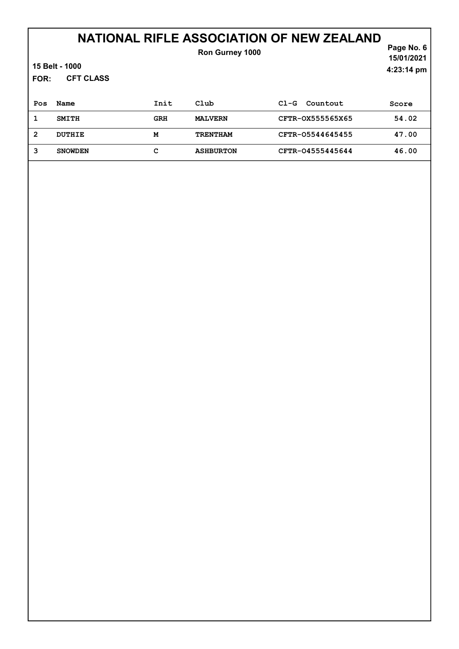### NATIONAL RIFLE ASSOCIATION OF NEW ZEALAND

| <b>FOR:</b>    | 15 Belt - 1000<br><b>CFT CLASS</b> |            | Ron Gurney 1000  |                    | Page No. 6<br>15/01/2021<br>4:23:14 pm |
|----------------|------------------------------------|------------|------------------|--------------------|----------------------------------------|
| Pos            | Name                               | Init       | Club             | Countout<br>$C1-G$ | Score                                  |
| 1              | <b>SMITH</b>                       | <b>GRH</b> | <b>MALVERN</b>   | CFTR-0X555565X65   | 54.02                                  |
| $\overline{2}$ | DUTHIE                             | M          | <b>TRENTHAM</b>  | CFTR-05544645455   | 47.00                                  |
| 3              | <b>SNOWDEN</b>                     | c          | <b>ASHBURTON</b> | CFTR-04555445644   | 46.00                                  |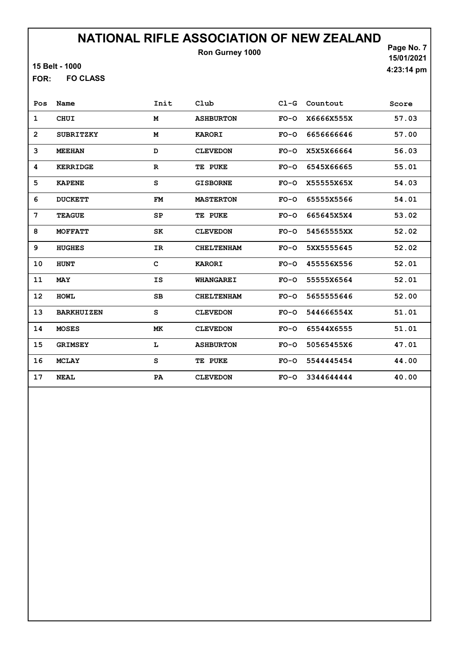15 Belt - 1000

FO CLASS FOR:

Page No. 7 15/01/2021 4:23:14 pm

| Pos            | Name              | Init         | Club              | $CL-G$ | Countout   | Score |
|----------------|-------------------|--------------|-------------------|--------|------------|-------|
| 1              | <b>CHUI</b>       | M            | <b>ASHBURTON</b>  | $FO-O$ | X6666X555X | 57.03 |
| $\overline{2}$ | <b>SUBRITZKY</b>  | M            | <b>KARORI</b>     | $FO-O$ | 6656666646 | 57.00 |
| 3              | <b>MEEHAN</b>     | D            | <b>CLEVEDON</b>   | $FO-O$ | X5X5X66664 | 56.03 |
| 4              | <b>KERRIDGE</b>   | $\mathbf{R}$ | TE PUKE           | $FO-O$ | 6545X66665 | 55.01 |
| 5              | <b>KAPENE</b>     | S            | <b>GISBORNE</b>   | $FO-O$ | X55555X65X | 54.03 |
| 6              | <b>DUCKETT</b>    | FM           | <b>MASTERTON</b>  | $FO-O$ | 65555X5566 | 54.01 |
| 7              | <b>TEAGUE</b>     | SP           | TE PUKE           | $FO-O$ | 665645X5X4 | 53.02 |
| 8              | <b>MOFFATT</b>    | SK           | <b>CLEVEDON</b>   | $FO-O$ | 54565555XX | 52.02 |
| 9              | <b>HUGHES</b>     | <b>IR</b>    | <b>CHELTENHAM</b> | $FO-O$ | 5XX5555645 | 52.02 |
| 10             | <b>HUNT</b>       | C            | <b>KARORI</b>     | $FO-O$ | 455556X556 | 52.01 |
| 11             | <b>MAY</b>        | <b>IS</b>    | <b>WHANGAREI</b>  | $FO-O$ | 55555X6564 | 52.01 |
| 12             | <b>HOWL</b>       | <b>SB</b>    | <b>CHELTENHAM</b> | $FO-O$ | 5655555646 | 52.00 |
| 13             | <b>BARKHUIZEN</b> | S            | <b>CLEVEDON</b>   | $FO-O$ | 544666554X | 51.01 |
| 14             | <b>MOSES</b>      | MK           | <b>CLEVEDON</b>   | $FO-O$ | 65544X6555 | 51.01 |
| 15             | <b>GRIMSEY</b>    | L            | <b>ASHBURTON</b>  | $FO-O$ | 50565455X6 | 47.01 |
| 16             | <b>MCLAY</b>      | $\mathtt{s}$ | TE PUKE           | $FO-O$ | 5544445454 | 44.00 |
| 17             | <b>NEAL</b>       | PA           | <b>CLEVEDON</b>   | $FO-O$ | 3344644444 | 40.00 |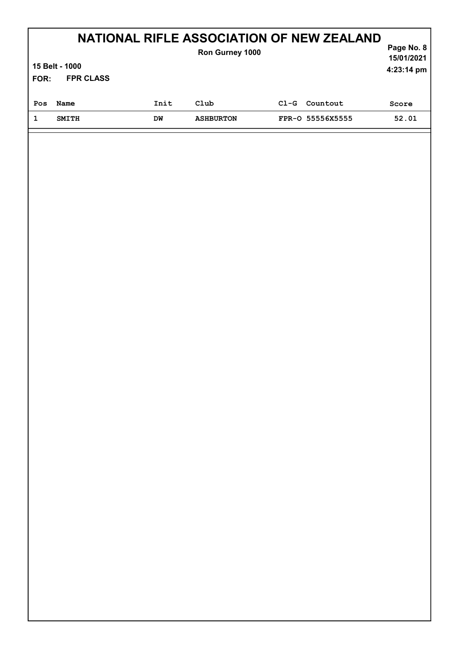| <b>NATIONAL RIFLE ASSOCIATION OF NEW ZEALAND</b><br>Ron Gurney 1000<br>15 Belt - 1000<br><b>FPR CLASS</b><br>FOR: |              |      |                  |        |                  | Page No. 8<br>15/01/2021<br>4:23:14 pm |
|-------------------------------------------------------------------------------------------------------------------|--------------|------|------------------|--------|------------------|----------------------------------------|
| Pos                                                                                                               | Name         | Init | Club             | $C1-G$ | Countout         | Score                                  |
|                                                                                                                   | <b>SMITH</b> | DW   | <b>ASHBURTON</b> |        | FPR-0 55556X5555 | 52.01                                  |
|                                                                                                                   |              |      |                  |        |                  |                                        |

Л